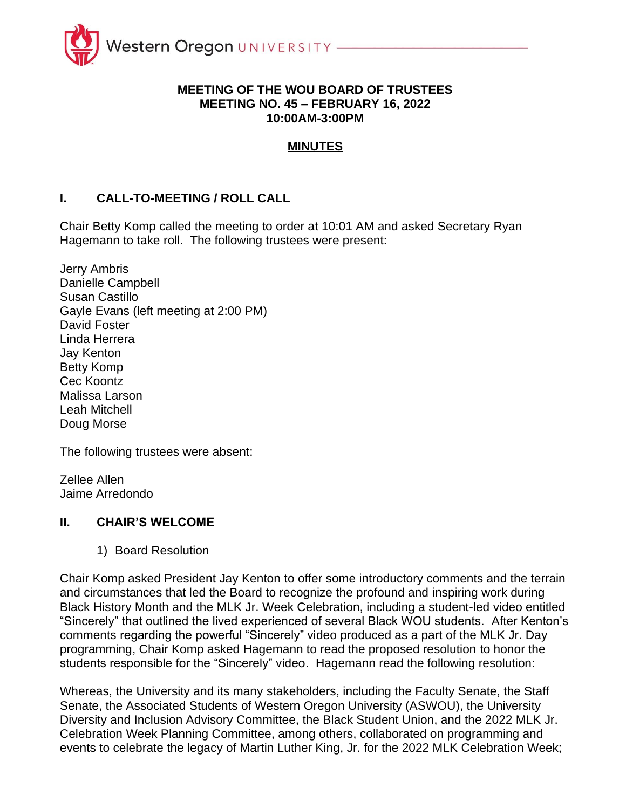

#### **MEETING OF THE WOU BOARD OF TRUSTEES MEETING NO. 45 – FEBRUARY 16, 2022 10:00AM-3:00PM**

### **MINUTES**

### **I. CALL-TO-MEETING / ROLL CALL**

Chair Betty Komp called the meeting to order at 10:01 AM and asked Secretary Ryan Hagemann to take roll. The following trustees were present:

Jerry Ambris Danielle Campbell Susan Castillo Gayle Evans (left meeting at 2:00 PM) David Foster Linda Herrera Jay Kenton Betty Komp Cec Koontz Malissa Larson Leah Mitchell Doug Morse

The following trustees were absent:

Zellee Allen Jaime Arredondo

#### **II. CHAIR'S WELCOME**

1) Board Resolution

Chair Komp asked President Jay Kenton to offer some introductory comments and the terrain and circumstances that led the Board to recognize the profound and inspiring work during Black History Month and the MLK Jr. Week Celebration, including a student-led video entitled "Sincerely" that outlined the lived experienced of several Black WOU students. After Kenton's comments regarding the powerful "Sincerely" video produced as a part of the MLK Jr. Day programming, Chair Komp asked Hagemann to read the proposed resolution to honor the students responsible for the "Sincerely" video. Hagemann read the following resolution:

Whereas, the University and its many stakeholders, including the Faculty Senate, the Staff Senate, the Associated Students of Western Oregon University (ASWOU), the University Diversity and Inclusion Advisory Committee, the Black Student Union, and the 2022 MLK Jr. Celebration Week Planning Committee, among others, collaborated on programming and events to celebrate the legacy of Martin Luther King, Jr. for the 2022 MLK Celebration Week;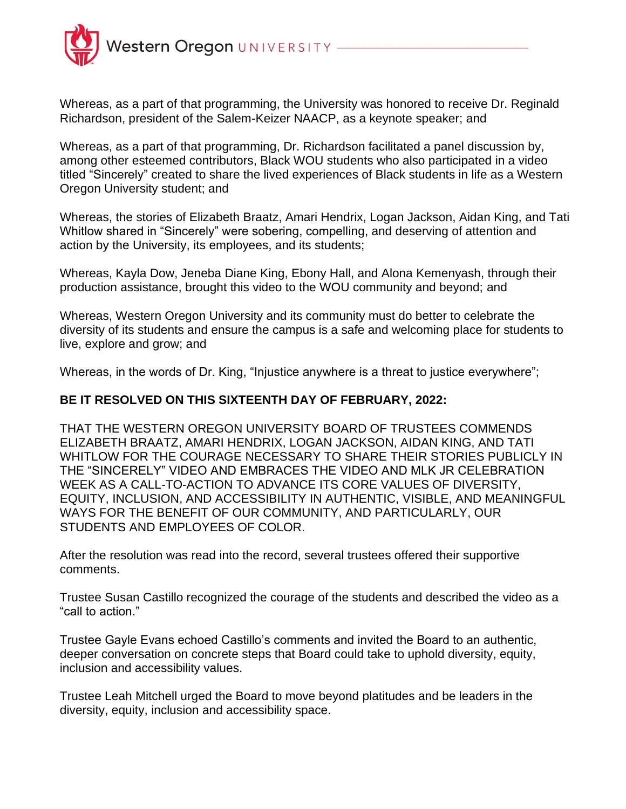

Whereas, as a part of that programming, the University was honored to receive Dr. Reginald Richardson, president of the Salem-Keizer NAACP, as a keynote speaker; and

Whereas, as a part of that programming, Dr. Richardson facilitated a panel discussion by, among other esteemed contributors, Black WOU students who also participated in a video titled "Sincerely" created to share the lived experiences of Black students in life as a Western Oregon University student; and

Whereas, the stories of Elizabeth Braatz, Amari Hendrix, Logan Jackson, Aidan King, and Tati Whitlow shared in "Sincerely" were sobering, compelling, and deserving of attention and action by the University, its employees, and its students;

Whereas, Kayla Dow, Jeneba Diane King, Ebony Hall, and Alona Kemenyash, through their production assistance, brought this video to the WOU community and beyond; and

Whereas, Western Oregon University and its community must do better to celebrate the diversity of its students and ensure the campus is a safe and welcoming place for students to live, explore and grow; and

Whereas, in the words of Dr. King, "Injustice anywhere is a threat to justice everywhere";

#### **BE IT RESOLVED ON THIS SIXTEENTH DAY OF FEBRUARY, 2022:**

THAT THE WESTERN OREGON UNIVERSITY BOARD OF TRUSTEES COMMENDS ELIZABETH BRAATZ, AMARI HENDRIX, LOGAN JACKSON, AIDAN KING, AND TATI WHITLOW FOR THE COURAGE NECESSARY TO SHARE THEIR STORIES PUBLICLY IN THE "SINCERELY" VIDEO AND EMBRACES THE VIDEO AND MLK JR CELEBRATION WEEK AS A CALL-TO-ACTION TO ADVANCE ITS CORE VALUES OF DIVERSITY, EQUITY, INCLUSION, AND ACCESSIBILITY IN AUTHENTIC, VISIBLE, AND MEANINGFUL WAYS FOR THE BENEFIT OF OUR COMMUNITY, AND PARTICULARLY, OUR STUDENTS AND EMPLOYEES OF COLOR.

After the resolution was read into the record, several trustees offered their supportive comments.

Trustee Susan Castillo recognized the courage of the students and described the video as a "call to action."

Trustee Gayle Evans echoed Castillo's comments and invited the Board to an authentic, deeper conversation on concrete steps that Board could take to uphold diversity, equity, inclusion and accessibility values.

Trustee Leah Mitchell urged the Board to move beyond platitudes and be leaders in the diversity, equity, inclusion and accessibility space.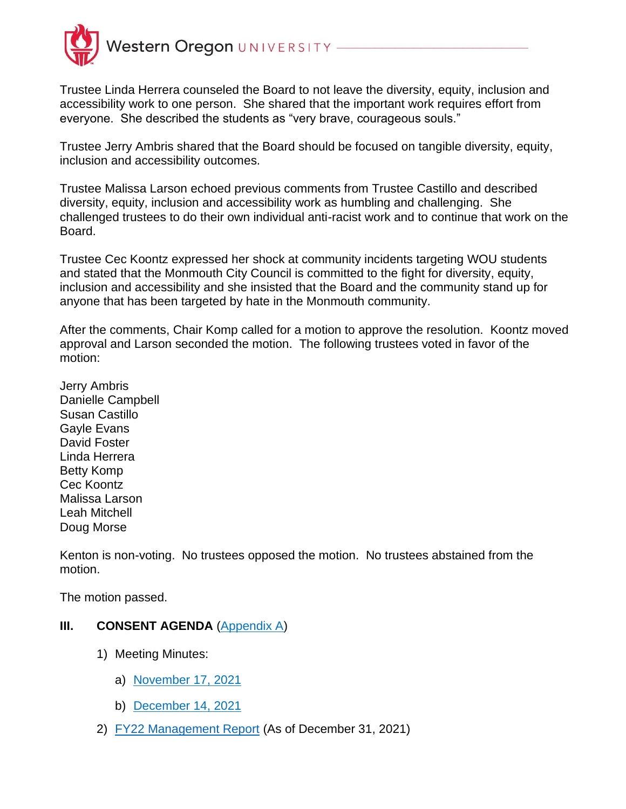

Trustee Linda Herrera counseled the Board to not leave the diversity, equity, inclusion and accessibility work to one person. She shared that the important work requires effort from everyone. She described the students as "very brave, courageous souls."

Trustee Jerry Ambris shared that the Board should be focused on tangible diversity, equity, inclusion and accessibility outcomes.

Trustee Malissa Larson echoed previous comments from Trustee Castillo and described diversity, equity, inclusion and accessibility work as humbling and challenging. She challenged trustees to do their own individual anti-racist work and to continue that work on the Board.

Trustee Cec Koontz expressed her shock at community incidents targeting WOU students and stated that the Monmouth City Council is committed to the fight for diversity, equity, inclusion and accessibility and she insisted that the Board and the community stand up for anyone that has been targeted by hate in the Monmouth community.

After the comments, Chair Komp called for a motion to approve the resolution. Koontz moved approval and Larson seconded the motion. The following trustees voted in favor of the motion:

Jerry Ambris Danielle Campbell Susan Castillo Gayle Evans David Foster Linda Herrera Betty Komp Cec Koontz Malissa Larson Leah Mitchell Doug Morse

Kenton is non-voting. No trustees opposed the motion. No trustees abstained from the motion.

The motion passed.

### **III. CONSENT AGENDA** (Appendix A)

- 1) Meeting Minutes:
	- a) November 17, 2021
	- b) December 14, 2021
- 2) FY22 Management Report (As of December 31, 2021)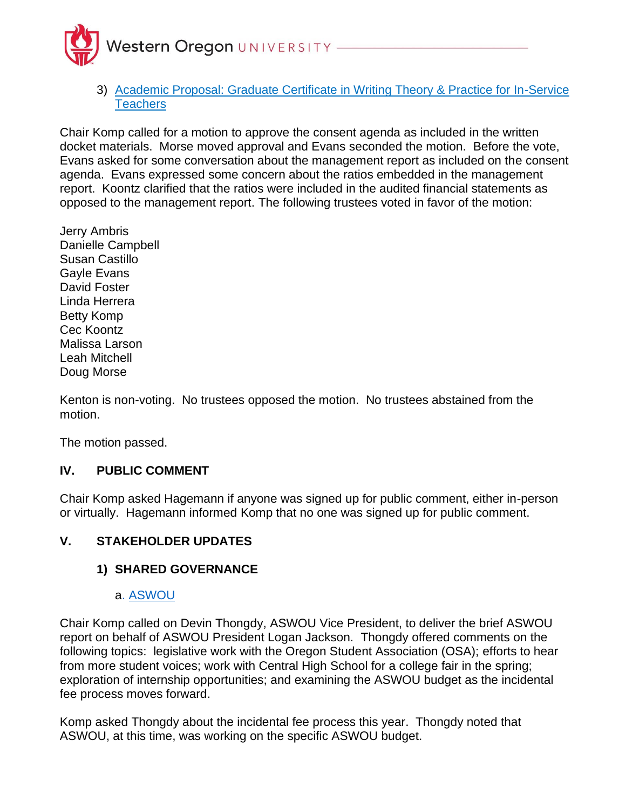

3) Academic Proposal: Graduate Certificate in Writing Theory & Practice for In-Service **Teachers** 

Chair Komp called for a motion to approve the consent agenda as included in the written docket materials. Morse moved approval and Evans seconded the motion. Before the vote, Evans asked for some conversation about the management report as included on the consent agenda. Evans expressed some concern about the ratios embedded in the management report. Koontz clarified that the ratios were included in the audited financial statements as opposed to the management report. The following trustees voted in favor of the motion:

Jerry Ambris Danielle Campbell Susan Castillo Gayle Evans David Foster Linda Herrera Betty Komp Cec Koontz Malissa Larson Leah Mitchell Doug Morse

Kenton is non-voting. No trustees opposed the motion. No trustees abstained from the motion.

The motion passed.

### **IV. PUBLIC COMMENT**

Chair Komp asked Hagemann if anyone was signed up for public comment, either in-person or virtually. Hagemann informed Komp that no one was signed up for public comment.

# **V. STAKEHOLDER UPDATES**

### **1) SHARED GOVERNANCE**

#### a. ASWOU

Chair Komp called on Devin Thongdy, ASWOU Vice President, to deliver the brief ASWOU report on behalf of ASWOU President Logan Jackson. Thongdy offered comments on the following topics: legislative work with the Oregon Student Association (OSA); efforts to hear from more student voices; work with Central High School for a college fair in the spring; exploration of internship opportunities; and examining the ASWOU budget as the incidental fee process moves forward.

Komp asked Thongdy about the incidental fee process this year. Thongdy noted that ASWOU, at this time, was working on the specific ASWOU budget.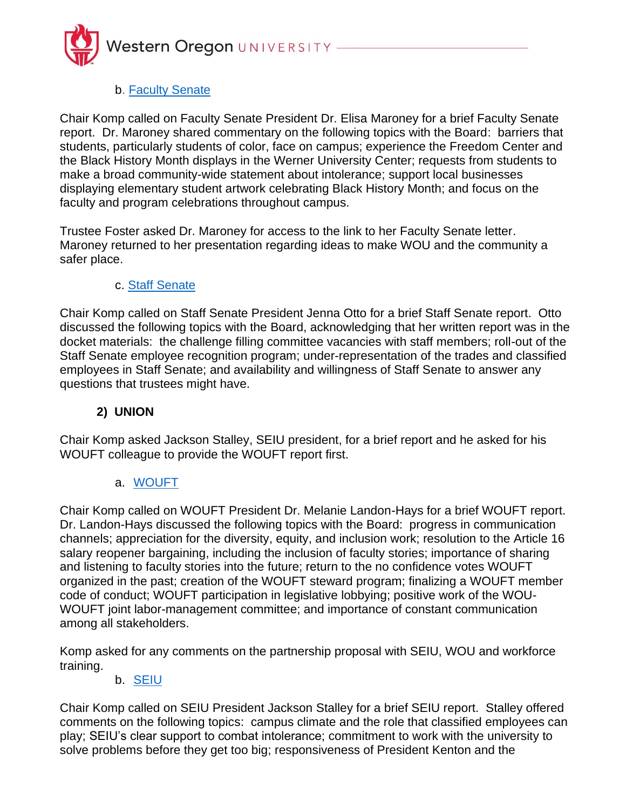

### b. Faculty Senate

Chair Komp called on Faculty Senate President Dr. Elisa Maroney for a brief Faculty Senate report. Dr. Maroney shared commentary on the following topics with the Board: barriers that students, particularly students of color, face on campus; experience the Freedom Center and the Black History Month displays in the Werner University Center; requests from students to make a broad community-wide statement about intolerance; support local businesses displaying elementary student artwork celebrating Black History Month; and focus on the faculty and program celebrations throughout campus.

Trustee Foster asked Dr. Maroney for access to the link to her Faculty Senate letter. Maroney returned to her presentation regarding ideas to make WOU and the community a safer place.

### c. Staff Senate

Chair Komp called on Staff Senate President Jenna Otto for a brief Staff Senate report. Otto discussed the following topics with the Board, acknowledging that her written report was in the docket materials: the challenge filling committee vacancies with staff members; roll-out of the Staff Senate employee recognition program; under-representation of the trades and classified employees in Staff Senate; and availability and willingness of Staff Senate to answer any questions that trustees might have.

### **2) UNION**

Chair Komp asked Jackson Stalley, SEIU president, for a brief report and he asked for his WOUFT colleague to provide the WOUFT report first.

#### a. WOUFT

Chair Komp called on WOUFT President Dr. Melanie Landon-Hays for a brief WOUFT report. Dr. Landon-Hays discussed the following topics with the Board: progress in communication channels; appreciation for the diversity, equity, and inclusion work; resolution to the Article 16 salary reopener bargaining, including the inclusion of faculty stories; importance of sharing and listening to faculty stories into the future; return to the no confidence votes WOUFT organized in the past; creation of the WOUFT steward program; finalizing a WOUFT member code of conduct; WOUFT participation in legislative lobbying; positive work of the WOU-WOUFT joint labor-management committee; and importance of constant communication among all stakeholders.

Komp asked for any comments on the partnership proposal with SEIU, WOU and workforce training.

#### b. SEIU

Chair Komp called on SEIU President Jackson Stalley for a brief SEIU report. Stalley offered comments on the following topics: campus climate and the role that classified employees can play; SEIU's clear support to combat intolerance; commitment to work with the university to solve problems before they get too big; responsiveness of President Kenton and the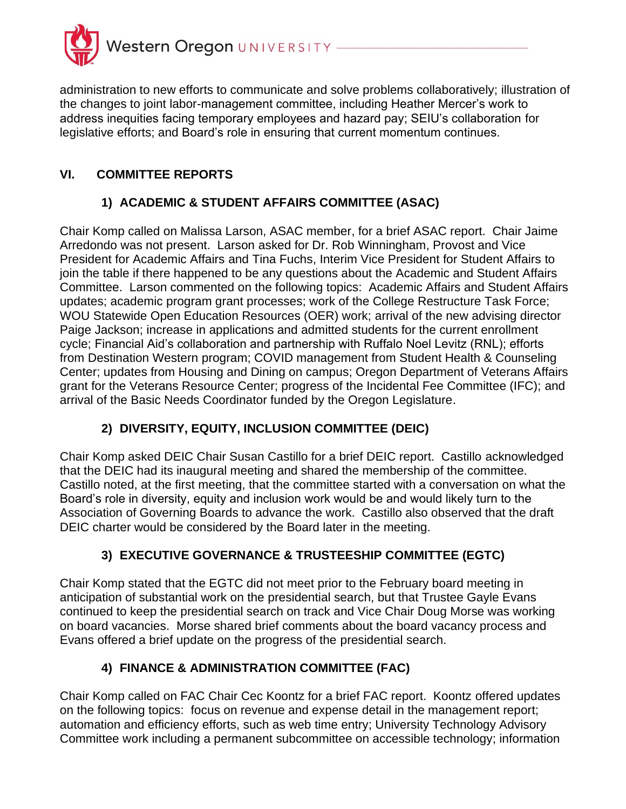

administration to new efforts to communicate and solve problems collaboratively; illustration of the changes to joint labor-management committee, including Heather Mercer's work to address inequities facing temporary employees and hazard pay; SEIU's collaboration for legislative efforts; and Board's role in ensuring that current momentum continues.

# **VI. COMMITTEE REPORTS**

# **1) ACADEMIC & STUDENT AFFAIRS COMMITTEE (ASAC)**

Chair Komp called on Malissa Larson, ASAC member, for a brief ASAC report. Chair Jaime Arredondo was not present. Larson asked for Dr. Rob Winningham, Provost and Vice President for Academic Affairs and Tina Fuchs, Interim Vice President for Student Affairs to join the table if there happened to be any questions about the Academic and Student Affairs Committee. Larson commented on the following topics: Academic Affairs and Student Affairs updates; academic program grant processes; work of the College Restructure Task Force; WOU Statewide Open Education Resources (OER) work; arrival of the new advising director Paige Jackson; increase in applications and admitted students for the current enrollment cycle; Financial Aid's collaboration and partnership with Ruffalo Noel Levitz (RNL); efforts from Destination Western program; COVID management from Student Health & Counseling Center; updates from Housing and Dining on campus; Oregon Department of Veterans Affairs grant for the Veterans Resource Center; progress of the Incidental Fee Committee (IFC); and arrival of the Basic Needs Coordinator funded by the Oregon Legislature.

# **2) DIVERSITY, EQUITY, INCLUSION COMMITTEE (DEIC)**

Chair Komp asked DEIC Chair Susan Castillo for a brief DEIC report. Castillo acknowledged that the DEIC had its inaugural meeting and shared the membership of the committee. Castillo noted, at the first meeting, that the committee started with a conversation on what the Board's role in diversity, equity and inclusion work would be and would likely turn to the Association of Governing Boards to advance the work. Castillo also observed that the draft DEIC charter would be considered by the Board later in the meeting.

# **3) EXECUTIVE GOVERNANCE & TRUSTEESHIP COMMITTEE (EGTC)**

Chair Komp stated that the EGTC did not meet prior to the February board meeting in anticipation of substantial work on the presidential search, but that Trustee Gayle Evans continued to keep the presidential search on track and Vice Chair Doug Morse was working on board vacancies. Morse shared brief comments about the board vacancy process and Evans offered a brief update on the progress of the presidential search.

# **4) FINANCE & ADMINISTRATION COMMITTEE (FAC)**

Chair Komp called on FAC Chair Cec Koontz for a brief FAC report. Koontz offered updates on the following topics: focus on revenue and expense detail in the management report; automation and efficiency efforts, such as web time entry; University Technology Advisory Committee work including a permanent subcommittee on accessible technology; information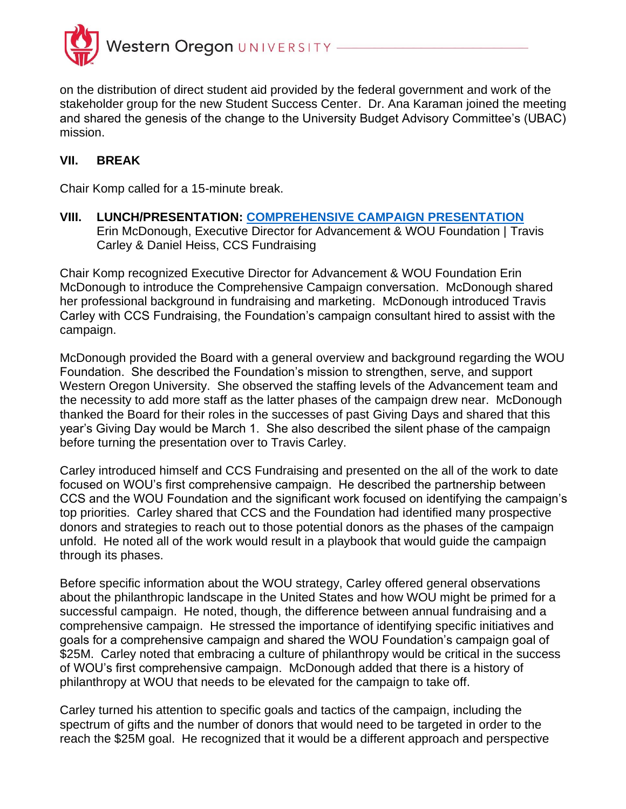

on the distribution of direct student aid provided by the federal government and work of the stakeholder group for the new Student Success Center. Dr. Ana Karaman joined the meeting and shared the genesis of the change to the University Budget Advisory Committee's (UBAC) mission.

### **VII. BREAK**

Chair Komp called for a 15-minute break.

**VIII. LUNCH/PRESENTATION: COMPREHENSIVE CAMPAIGN PRESENTATION**  Erin McDonough, Executive Director for Advancement & WOU Foundation | Travis Carley & Daniel Heiss, CCS Fundraising

Chair Komp recognized Executive Director for Advancement & WOU Foundation Erin McDonough to introduce the Comprehensive Campaign conversation. McDonough shared her professional background in fundraising and marketing. McDonough introduced Travis Carley with CCS Fundraising, the Foundation's campaign consultant hired to assist with the campaign.

McDonough provided the Board with a general overview and background regarding the WOU Foundation. She described the Foundation's mission to strengthen, serve, and support Western Oregon University. She observed the staffing levels of the Advancement team and the necessity to add more staff as the latter phases of the campaign drew near. McDonough thanked the Board for their roles in the successes of past Giving Days and shared that this year's Giving Day would be March 1. She also described the silent phase of the campaign before turning the presentation over to Travis Carley.

Carley introduced himself and CCS Fundraising and presented on the all of the work to date focused on WOU's first comprehensive campaign. He described the partnership between CCS and the WOU Foundation and the significant work focused on identifying the campaign's top priorities. Carley shared that CCS and the Foundation had identified many prospective donors and strategies to reach out to those potential donors as the phases of the campaign unfold. He noted all of the work would result in a playbook that would guide the campaign through its phases.

Before specific information about the WOU strategy, Carley offered general observations about the philanthropic landscape in the United States and how WOU might be primed for a successful campaign. He noted, though, the difference between annual fundraising and a comprehensive campaign. He stressed the importance of identifying specific initiatives and goals for a comprehensive campaign and shared the WOU Foundation's campaign goal of  $$25M.$  Carley noted that embracing a culture of philanthropy would be critical in the success of WOU's first comprehensive campaign. McDonough added that there is a history of philanthropy at WOU that needs to be elevated for the campaign to take off.

Carley turned his attention to specific goals and tactics of the campaign, including the spectrum of gifts and the number of donors that would need to be targeted in order to the reach the \$25M goal. He recognized that it would be a different approach and perspective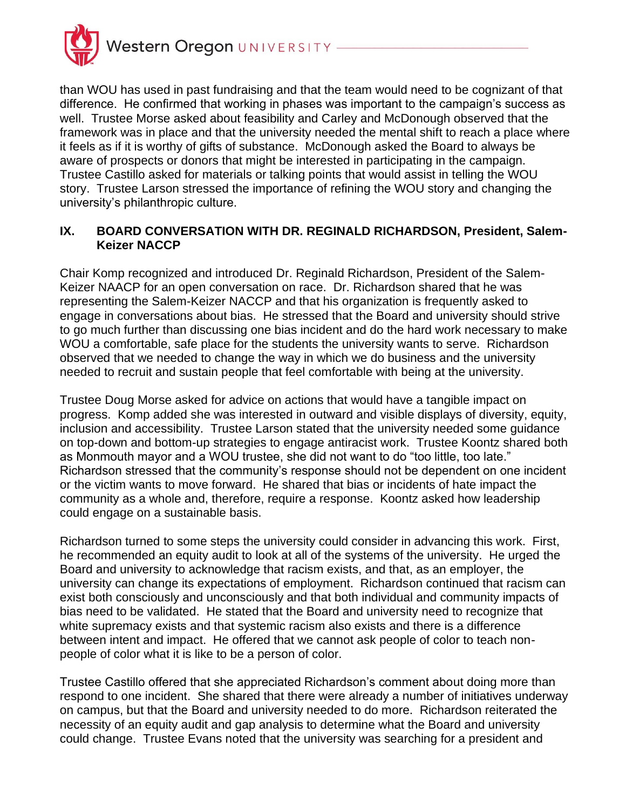

than WOU has used in past fundraising and that the team would need to be cognizant of that difference. He confirmed that working in phases was important to the campaign's success as well. Trustee Morse asked about feasibility and Carley and McDonough observed that the framework was in place and that the university needed the mental shift to reach a place where it feels as if it is worthy of gifts of substance. McDonough asked the Board to always be aware of prospects or donors that might be interested in participating in the campaign. Trustee Castillo asked for materials or talking points that would assist in telling the WOU story. Trustee Larson stressed the importance of refining the WOU story and changing the university's philanthropic culture.

### **IX. BOARD CONVERSATION WITH DR. REGINALD RICHARDSON, President, Salem-Keizer NACCP**

Chair Komp recognized and introduced Dr. Reginald Richardson, President of the Salem-Keizer NAACP for an open conversation on race. Dr. Richardson shared that he was representing the Salem-Keizer NACCP and that his organization is frequently asked to engage in conversations about bias. He stressed that the Board and university should strive to go much further than discussing one bias incident and do the hard work necessary to make WOU a comfortable, safe place for the students the university wants to serve. Richardson observed that we needed to change the way in which we do business and the university needed to recruit and sustain people that feel comfortable with being at the university.

Trustee Doug Morse asked for advice on actions that would have a tangible impact on progress. Komp added she was interested in outward and visible displays of diversity, equity, inclusion and accessibility. Trustee Larson stated that the university needed some guidance on top-down and bottom-up strategies to engage antiracist work. Trustee Koontz shared both as Monmouth mayor and a WOU trustee, she did not want to do "too little, too late." Richardson stressed that the community's response should not be dependent on one incident or the victim wants to move forward. He shared that bias or incidents of hate impact the community as a whole and, therefore, require a response. Koontz asked how leadership could engage on a sustainable basis.

Richardson turned to some steps the university could consider in advancing this work. First, he recommended an equity audit to look at all of the systems of the university. He urged the Board and university to acknowledge that racism exists, and that, as an employer, the university can change its expectations of employment. Richardson continued that racism can exist both consciously and unconsciously and that both individual and community impacts of bias need to be validated. He stated that the Board and university need to recognize that white supremacy exists and that systemic racism also exists and there is a difference between intent and impact. He offered that we cannot ask people of color to teach nonpeople of color what it is like to be a person of color.

Trustee Castillo offered that she appreciated Richardson's comment about doing more than respond to one incident. She shared that there were already a number of initiatives underway on campus, but that the Board and university needed to do more. Richardson reiterated the necessity of an equity audit and gap analysis to determine what the Board and university could change. Trustee Evans noted that the university was searching for a president and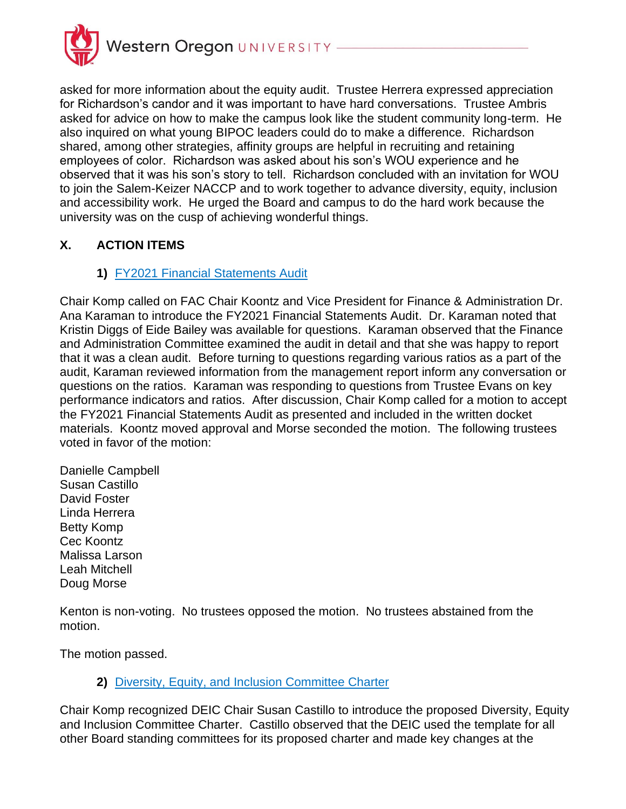

asked for more information about the equity audit. Trustee Herrera expressed appreciation for Richardson's candor and it was important to have hard conversations. Trustee Ambris asked for advice on how to make the campus look like the student community long-term. He also inquired on what young BIPOC leaders could do to make a difference. Richardson shared, among other strategies, affinity groups are helpful in recruiting and retaining employees of color. Richardson was asked about his son's WOU experience and he observed that it was his son's story to tell. Richardson concluded with an invitation for WOU to join the Salem-Keizer NACCP and to work together to advance diversity, equity, inclusion and accessibility work. He urged the Board and campus to do the hard work because the university was on the cusp of achieving wonderful things.

# **X. ACTION ITEMS**

# **1)** FY2021 Financial Statements Audit

Chair Komp called on FAC Chair Koontz and Vice President for Finance & Administration Dr. Ana Karaman to introduce the FY2021 Financial Statements Audit. Dr. Karaman noted that Kristin Diggs of Eide Bailey was available for questions. Karaman observed that the Finance and Administration Committee examined the audit in detail and that she was happy to report that it was a clean audit. Before turning to questions regarding various ratios as a part of the audit, Karaman reviewed information from the management report inform any conversation or questions on the ratios. Karaman was responding to questions from Trustee Evans on key performance indicators and ratios. After discussion, Chair Komp called for a motion to accept the FY2021 Financial Statements Audit as presented and included in the written docket materials. Koontz moved approval and Morse seconded the motion. The following trustees voted in favor of the motion:

Danielle Campbell Susan Castillo David Foster Linda Herrera Betty Komp Cec Koontz Malissa Larson Leah Mitchell Doug Morse

Kenton is non-voting. No trustees opposed the motion. No trustees abstained from the motion.

The motion passed.

# **2)** Diversity, Equity, and Inclusion Committee Charter

Chair Komp recognized DEIC Chair Susan Castillo to introduce the proposed Diversity, Equity and Inclusion Committee Charter. Castillo observed that the DEIC used the template for all other Board standing committees for its proposed charter and made key changes at the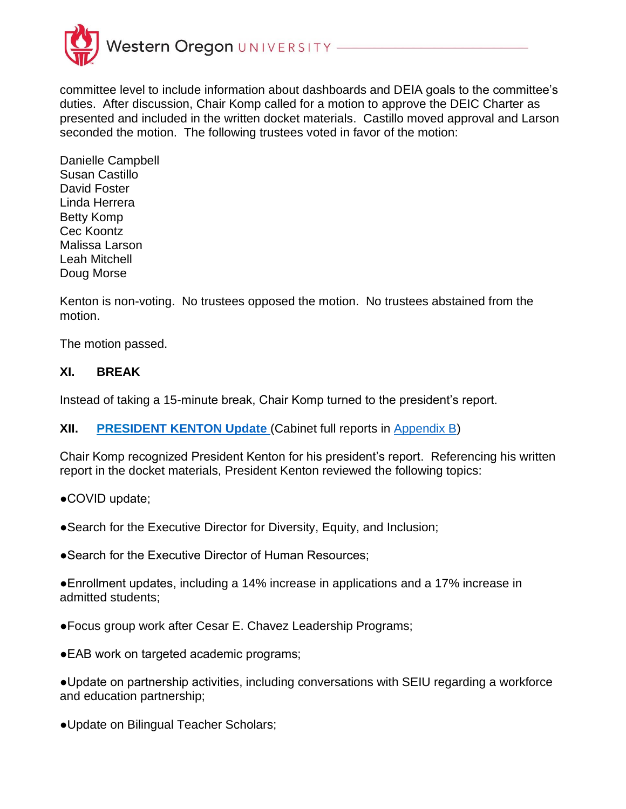

committee level to include information about dashboards and DEIA goals to the committee's duties. After discussion, Chair Komp called for a motion to approve the DEIC Charter as presented and included in the written docket materials. Castillo moved approval and Larson seconded the motion. The following trustees voted in favor of the motion:

Danielle Campbell Susan Castillo David Foster Linda Herrera Betty Komp Cec Koontz Malissa Larson Leah Mitchell Doug Morse

Kenton is non-voting. No trustees opposed the motion. No trustees abstained from the motion.

The motion passed.

### **XI. BREAK**

Instead of taking a 15-minute break, Chair Komp turned to the president's report.

**XII. PRESIDENT KENTON Update** (Cabinet full reports in [Appendix B\)](https://wou.edu/board/files/2021/04/Appendix-B-Cover-042121.pdf)

Chair Komp recognized President Kenton for his president's report. Referencing his written report in the docket materials, President Kenton reviewed the following topics:

●COVID update;

●Search for the Executive Director for Diversity, Equity, and Inclusion;

●Search for the Executive Director of Human Resources:

●Enrollment updates, including a 14% increase in applications and a 17% increase in admitted students;

●Focus group work after Cesar E. Chavez Leadership Programs;

●EAB work on targeted academic programs;

●Update on partnership activities, including conversations with SEIU regarding a workforce and education partnership;

●Update on Bilingual Teacher Scholars;